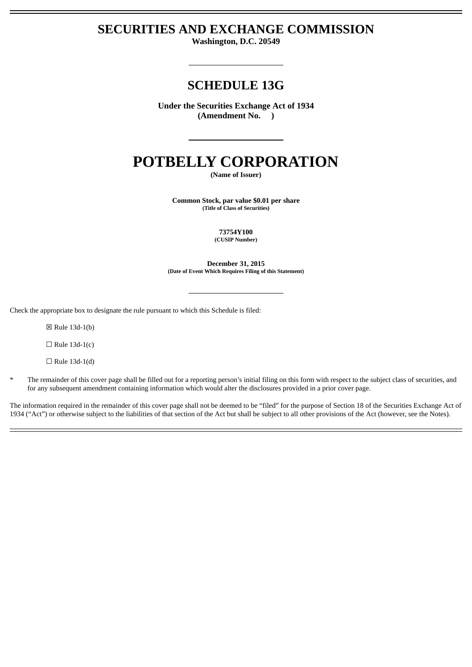# **SECURITIES AND EXCHANGE COMMISSION**

**Washington, D.C. 20549**

# **SCHEDULE 13G**

**Under the Securities Exchange Act of 1934 (Amendment No. )**

# **POTBELLY CORPORATION**

**(Name of Issuer)**

**Common Stock, par value \$0.01 per share (Title of Class of Securities)**

> **73754Y100 (CUSIP Number)**

**December 31, 2015 (Date of Event Which Requires Filing of this Statement)**

Check the appropriate box to designate the rule pursuant to which this Schedule is filed:

☒ Rule 13d-1(b)

 $\Box$  Rule 13d-1(c)

 $\Box$  Rule 13d-1(d)

\* The remainder of this cover page shall be filled out for a reporting person's initial filing on this form with respect to the subject class of securities, and for any subsequent amendment containing information which would alter the disclosures provided in a prior cover page.

The information required in the remainder of this cover page shall not be deemed to be "filed" for the purpose of Section 18 of the Securities Exchange Act of 1934 ("Act") or otherwise subject to the liabilities of that section of the Act but shall be subject to all other provisions of the Act (however, see the Notes).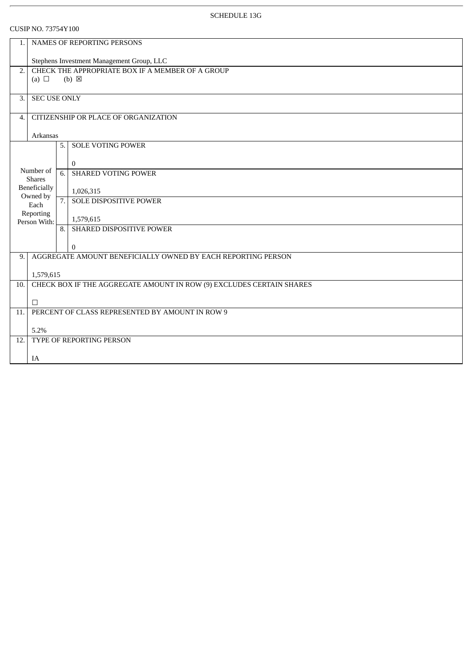| 1.       | NAMES OF REPORTING PERSONS                                           |    |                               |  |  |  |
|----------|----------------------------------------------------------------------|----|-------------------------------|--|--|--|
|          | Stephens Investment Management Group, LLC                            |    |                               |  |  |  |
| 2.       | CHECK THE APPROPRIATE BOX IF A MEMBER OF A GROUP                     |    |                               |  |  |  |
|          | (a) $\Box$                                                           |    | $(b) \boxtimes$               |  |  |  |
| 3.       | <b>SEC USE ONLY</b>                                                  |    |                               |  |  |  |
|          |                                                                      |    |                               |  |  |  |
| 4.       | CITIZENSHIP OR PLACE OF ORGANIZATION                                 |    |                               |  |  |  |
| Arkansas |                                                                      |    |                               |  |  |  |
|          |                                                                      | 5. | <b>SOLE VOTING POWER</b>      |  |  |  |
|          |                                                                      |    | $\theta$                      |  |  |  |
|          | Number of<br><b>Shares</b>                                           | 6. | <b>SHARED VOTING POWER</b>    |  |  |  |
|          | Beneficially<br>Owned by                                             |    | 1,026,315                     |  |  |  |
|          | Each                                                                 | 7. | <b>SOLE DISPOSITIVE POWER</b> |  |  |  |
|          | Reporting<br>Person With:                                            |    | 1,579,615                     |  |  |  |
|          |                                                                      |    | 8. SHARED DISPOSITIVE POWER   |  |  |  |
|          |                                                                      |    | $\overline{0}$                |  |  |  |
| 9.       | AGGREGATE AMOUNT BENEFICIALLY OWNED BY EACH REPORTING PERSON         |    |                               |  |  |  |
|          | 1,579,615                                                            |    |                               |  |  |  |
| 10.      | CHECK BOX IF THE AGGREGATE AMOUNT IN ROW (9) EXCLUDES CERTAIN SHARES |    |                               |  |  |  |
|          | $\Box$                                                               |    |                               |  |  |  |
| 11.      | PERCENT OF CLASS REPRESENTED BY AMOUNT IN ROW 9                      |    |                               |  |  |  |
|          | 5.2%                                                                 |    |                               |  |  |  |
| 12.      | TYPE OF REPORTING PERSON                                             |    |                               |  |  |  |
|          | IA                                                                   |    |                               |  |  |  |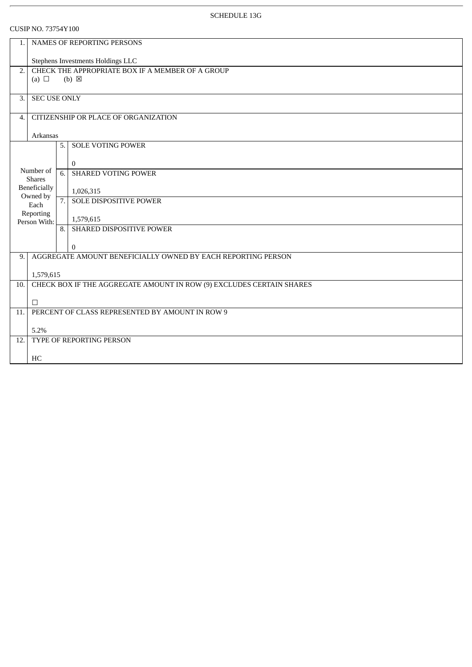$D$  NO. 73754V100

|     | <b>CUSIP NO. 73754Y 100</b>                                          |     |                                                              |  |  |  |
|-----|----------------------------------------------------------------------|-----|--------------------------------------------------------------|--|--|--|
| 1.  | NAMES OF REPORTING PERSONS                                           |     |                                                              |  |  |  |
|     | Stephens Investments Holdings LLC                                    |     |                                                              |  |  |  |
| 2.  | CHECK THE APPROPRIATE BOX IF A MEMBER OF A GROUP                     |     |                                                              |  |  |  |
|     | (a) $\Box$                                                           |     | $(b) \boxtimes$                                              |  |  |  |
| 3.  | <b>SEC USE ONLY</b>                                                  |     |                                                              |  |  |  |
|     |                                                                      |     |                                                              |  |  |  |
| 4.  | CITIZENSHIP OR PLACE OF ORGANIZATION                                 |     |                                                              |  |  |  |
|     | Arkansas                                                             |     |                                                              |  |  |  |
|     |                                                                      | 5.1 | <b>SOLE VOTING POWER</b>                                     |  |  |  |
|     |                                                                      |     | $\mathbf{0}$                                                 |  |  |  |
|     | Number of<br><b>Shares</b>                                           | 6.  | <b>SHARED VOTING POWER</b>                                   |  |  |  |
|     | Beneficially                                                         |     | 1,026,315                                                    |  |  |  |
|     | Owned by<br>Each                                                     | 7.1 | <b>SOLE DISPOSITIVE POWER</b>                                |  |  |  |
|     | Reporting<br>Person With:                                            |     | 1,579,615                                                    |  |  |  |
|     |                                                                      | 8.1 | SHARED DISPOSITIVE POWER                                     |  |  |  |
|     |                                                                      |     | $\overline{0}$                                               |  |  |  |
| 9.  |                                                                      |     | AGGREGATE AMOUNT BENEFICIALLY OWNED BY EACH REPORTING PERSON |  |  |  |
|     | 1,579,615                                                            |     |                                                              |  |  |  |
| 10. | CHECK BOX IF THE AGGREGATE AMOUNT IN ROW (9) EXCLUDES CERTAIN SHARES |     |                                                              |  |  |  |
|     | $\Box$                                                               |     |                                                              |  |  |  |
| 11. | PERCENT OF CLASS REPRESENTED BY AMOUNT IN ROW 9                      |     |                                                              |  |  |  |
|     | 5.2%                                                                 |     |                                                              |  |  |  |
| 12. | TYPE OF REPORTING PERSON                                             |     |                                                              |  |  |  |
|     | HC                                                                   |     |                                                              |  |  |  |
|     |                                                                      |     |                                                              |  |  |  |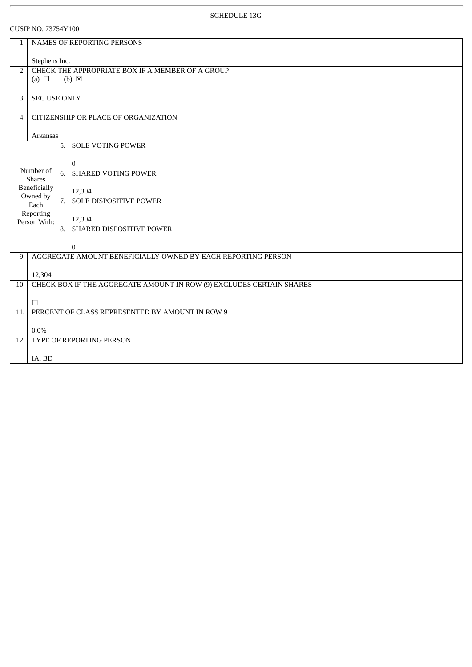|                                                                           | <b>CUSIP NO.</b> 73754 Y 100                    |     |                                                                      |  |  |  |
|---------------------------------------------------------------------------|-------------------------------------------------|-----|----------------------------------------------------------------------|--|--|--|
| 1.                                                                        | NAMES OF REPORTING PERSONS                      |     |                                                                      |  |  |  |
|                                                                           | Stephens Inc.                                   |     |                                                                      |  |  |  |
| CHECK THE APPROPRIATE BOX IF A MEMBER OF A GROUP<br>2.<br>$(b) \boxtimes$ |                                                 |     |                                                                      |  |  |  |
|                                                                           | (a) $\Box$                                      |     |                                                                      |  |  |  |
| 3.                                                                        | <b>SEC USE ONLY</b>                             |     |                                                                      |  |  |  |
| $\overline{4}$ .                                                          | CITIZENSHIP OR PLACE OF ORGANIZATION            |     |                                                                      |  |  |  |
|                                                                           | Arkansas                                        |     |                                                                      |  |  |  |
|                                                                           |                                                 | 5.1 | <b>SOLE VOTING POWER</b>                                             |  |  |  |
|                                                                           |                                                 |     | $\Omega$                                                             |  |  |  |
|                                                                           | Number of<br><b>Shares</b>                      | 6.  | <b>SHARED VOTING POWER</b>                                           |  |  |  |
|                                                                           | Beneficially                                    |     | 12,304                                                               |  |  |  |
|                                                                           | Owned by<br>Each                                | 7.1 | <b>SOLE DISPOSITIVE POWER</b>                                        |  |  |  |
|                                                                           | Reporting<br>Person With:                       |     | 12,304                                                               |  |  |  |
|                                                                           |                                                 |     | 8. SHARED DISPOSITIVE POWER                                          |  |  |  |
|                                                                           |                                                 |     | $\Omega$                                                             |  |  |  |
| 9.                                                                        |                                                 |     | AGGREGATE AMOUNT BENEFICIALLY OWNED BY EACH REPORTING PERSON         |  |  |  |
|                                                                           | 12,304                                          |     |                                                                      |  |  |  |
| 10.                                                                       |                                                 |     | CHECK BOX IF THE AGGREGATE AMOUNT IN ROW (9) EXCLUDES CERTAIN SHARES |  |  |  |
|                                                                           | $\Box$                                          |     |                                                                      |  |  |  |
| 11.                                                                       | PERCENT OF CLASS REPRESENTED BY AMOUNT IN ROW 9 |     |                                                                      |  |  |  |
|                                                                           | $0.0\%$                                         |     |                                                                      |  |  |  |
| 12.                                                                       | TYPE OF REPORTING PERSON                        |     |                                                                      |  |  |  |
|                                                                           | IA, BD                                          |     |                                                                      |  |  |  |
|                                                                           |                                                 |     |                                                                      |  |  |  |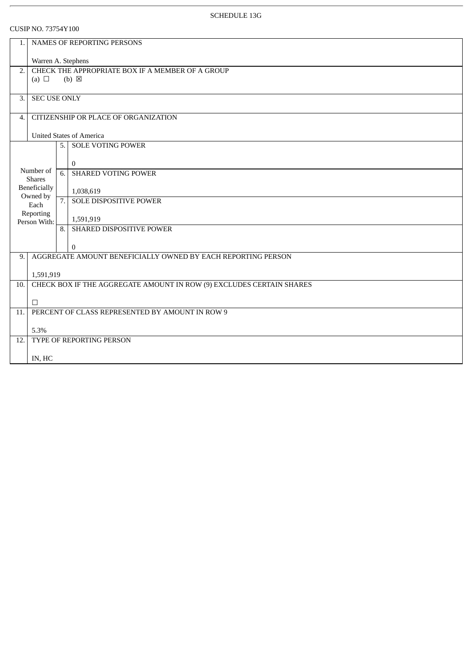|     | UUSIP INU. 73754 Y 100                                 |     |                                                                      |  |  |  |
|-----|--------------------------------------------------------|-----|----------------------------------------------------------------------|--|--|--|
| 1.  | NAMES OF REPORTING PERSONS                             |     |                                                                      |  |  |  |
|     | Warren A. Stephens                                     |     |                                                                      |  |  |  |
|     | CHECK THE APPROPRIATE BOX IF A MEMBER OF A GROUP<br>2. |     |                                                                      |  |  |  |
|     | (a) $\Box$                                             |     | $(b) \boxtimes$                                                      |  |  |  |
| 3.  | <b>SEC USE ONLY</b>                                    |     |                                                                      |  |  |  |
| 4.  | CITIZENSHIP OR PLACE OF ORGANIZATION                   |     |                                                                      |  |  |  |
|     | <b>United States of America</b>                        |     |                                                                      |  |  |  |
|     |                                                        | 5.1 | <b>SOLE VOTING POWER</b>                                             |  |  |  |
|     | Number of                                              |     | $\overline{0}$                                                       |  |  |  |
|     | <b>Shares</b>                                          | 6.  | <b>SHARED VOTING POWER</b>                                           |  |  |  |
|     | Beneficially<br>Owned by                               |     | 1,038,619                                                            |  |  |  |
|     | Each                                                   | 7.  | <b>SOLE DISPOSITIVE POWER</b>                                        |  |  |  |
|     | Reporting<br>Person With:                              |     | 1,591,919                                                            |  |  |  |
|     |                                                        | 8.1 | SHARED DISPOSITIVE POWER                                             |  |  |  |
|     |                                                        |     | $\overline{0}$                                                       |  |  |  |
| 9.  |                                                        |     | AGGREGATE AMOUNT BENEFICIALLY OWNED BY EACH REPORTING PERSON         |  |  |  |
|     | 1,591,919                                              |     |                                                                      |  |  |  |
| 10. |                                                        |     | CHECK BOX IF THE AGGREGATE AMOUNT IN ROW (9) EXCLUDES CERTAIN SHARES |  |  |  |
|     | $\Box$                                                 |     |                                                                      |  |  |  |
| 11. | PERCENT OF CLASS REPRESENTED BY AMOUNT IN ROW 9        |     |                                                                      |  |  |  |
|     | 5.3%                                                   |     |                                                                      |  |  |  |
| 12. | TYPE OF REPORTING PERSON                               |     |                                                                      |  |  |  |
|     | IN, HC                                                 |     |                                                                      |  |  |  |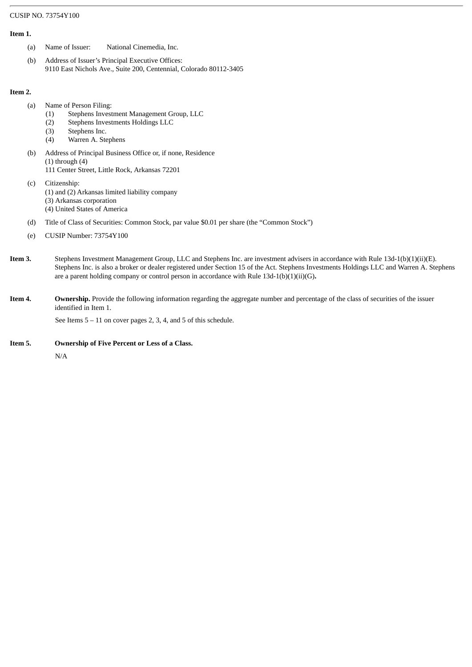#### **Item 1.**

- (a) Name of Issuer: National Cinemedia, Inc.
- (b) Address of Issuer's Principal Executive Offices: 9110 East Nichols Ave., Suite 200, Centennial, Colorado 80112-3405

### **Item 2.**

- (a) Name of Person Filing:
	- (1) Stephens Investment Management Group, LLC
	- (2) Stephens Investments Holdings LLC
	- (3) Stephens Inc.
	- (4) Warren A. Stephens
- (b) Address of Principal Business Office or, if none, Residence  $(1)$  through  $(4)$ 111 Center Street, Little Rock, Arkansas 72201
- (c) Citizenship: (1) and (2) Arkansas limited liability company (3) Arkansas corporation (4) United States of America
- (d) Title of Class of Securities: Common Stock, par value \$0.01 per share (the "Common Stock")
- (e) CUSIP Number: 73754Y100
- **Item 3.** Stephens Investment Management Group, LLC and Stephens Inc. are investment advisers in accordance with Rule 13d-1(b)(1)(ii)(E). Stephens Inc. is also a broker or dealer registered under Section 15 of the Act. Stephens Investments Holdings LLC and Warren A. Stephens are a parent holding company or control person in accordance with Rule 13d-1(b)(1)(ii)(G)**.**
- **Item 4.** Ownership. Provide the following information regarding the aggregate number and percentage of the class of securities of the issuer identified in Item 1.

See Items 5 – 11 on cover pages 2, 3, 4, and 5 of this schedule.

**Item 5. Ownership of Five Percent or Less of a Class.**

N/A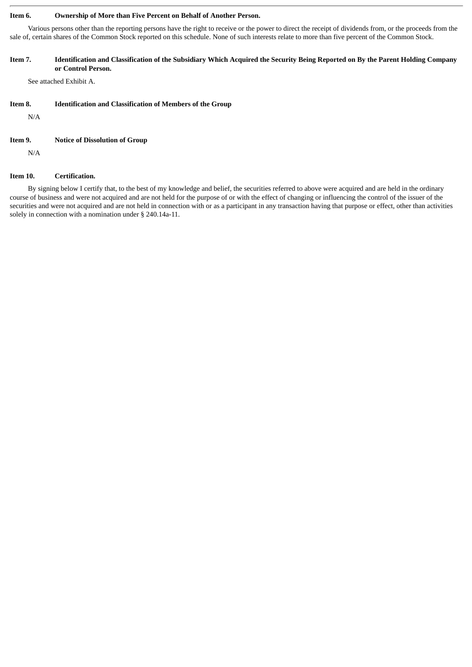#### **Item 6. Ownership of More than Five Percent on Behalf of Another Person.**

Various persons other than the reporting persons have the right to receive or the power to direct the receipt of dividends from, or the proceeds from the sale of, certain shares of the Common Stock reported on this schedule. None of such interests relate to more than five percent of the Common Stock.

#### Item 7. Identification and Classification of the Subsidiary Which Acquired the Security Being Reported on By the Parent Holding Company **or Control Person.**

See attached Exhibit A.

#### **Item 8. Identification and Classification of Members of the Group**

N/A

#### **Item 9. Notice of Dissolution of Group**

N/A

#### **Item 10. Certification.**

By signing below I certify that, to the best of my knowledge and belief, the securities referred to above were acquired and are held in the ordinary course of business and were not acquired and are not held for the purpose of or with the effect of changing or influencing the control of the issuer of the securities and were not acquired and are not held in connection with or as a participant in any transaction having that purpose or effect, other than activities solely in connection with a nomination under § 240.14a-11.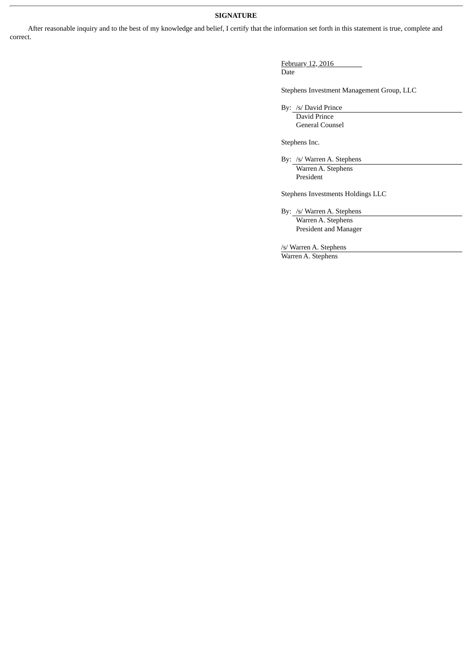## **SIGNATURE**

After reasonable inquiry and to the best of my knowledge and belief, I certify that the information set forth in this statement is true, complete and correct.

> February 12, 2016 Date

Stephens Investment Management Group, LLC

By: /s/ David Prince

David Prince General Counsel

Stephens Inc.

By: /s/ Warren A. Stephens Warren A. Stephens President

Stephens Investments Holdings LLC

By: /s/ Warren A. Stephens Warren A. Stephens President and Manager

/s/ Warren A. Stephens

Warren A. Stephens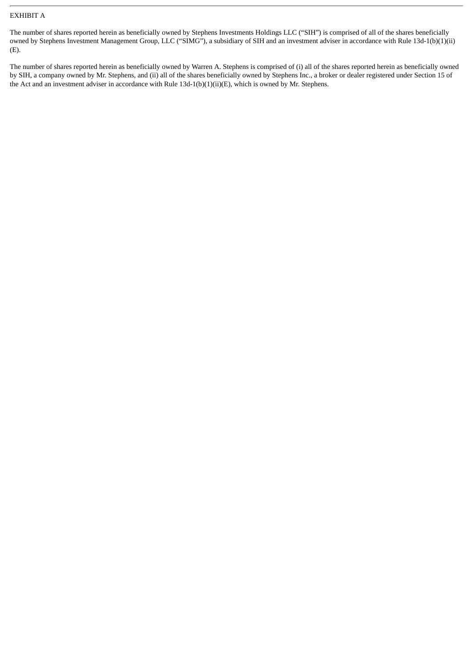## EXHIBIT A

The number of shares reported herein as beneficially owned by Stephens Investments Holdings LLC ("SIH") is comprised of all of the shares beneficially owned by Stephens Investment Management Group, LLC ("SIMG"), a subsidiary of SIH and an investment adviser in accordance with Rule 13d-1(b)(1)(ii) (E).

The number of shares reported herein as beneficially owned by Warren A. Stephens is comprised of (i) all of the shares reported herein as beneficially owned by SIH, a company owned by Mr. Stephens, and (ii) all of the shares beneficially owned by Stephens Inc., a broker or dealer registered under Section 15 of the Act and an investment adviser in accordance with Rule 13d-1(b)(1)(ii)(E), which is owned by Mr. Stephens.